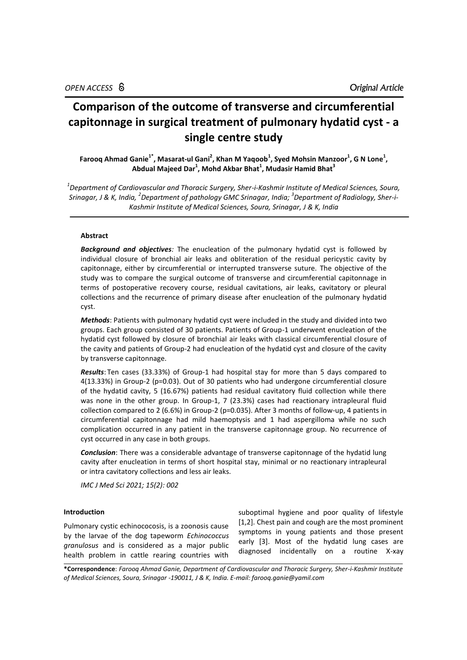# **Comparison of the outcome of transverse and circumferential capitonnage in surgical treatment of pulmonary hydatid cyst - a single centre study**

Farooq Ahmad Ganie<sup>1\*</sup>, Masarat-ul Gani<sup>2</sup>, Khan M Yaqoob<sup>1</sup>, Syed Mohsin Manzoor<sup>1</sup>, G N Lone<sup>1</sup>, **Abdual Majeed Dar<sup>1</sup> , Mohd Akbar Bhat<sup>1</sup> , Mudasir Hamid Bhat<sup>3</sup>**

*1 Department of Cardiovascular and Thoracic Surgery, Sher-i-Kashmir Institute of Medical Sciences, Soura, Srinagar, J & K, India, <sup>2</sup> Department of pathology GMC Srinagar, India; 3 Department of Radiology, Sher-i-Kashmir Institute of Medical Sciences, Soura, Srinagar, J & K, India*

# **Abstract**

*Background and objectives:* The enucleation of the pulmonary hydatid cyst is followed by individual closure of bronchial air leaks and obliteration of the residual pericystic cavity by capitonnage, either by circumferential or interrupted transverse suture. The objective of the study was to compare the surgical outcome of transverse and circumferential capitonnage in terms of postoperative recovery course, residual cavitations, air leaks, cavitatory or pleural collections and the recurrence of primary disease after enucleation of the pulmonary hydatid cyst.

*Methods*: Patients with pulmonary hydatid cyst were included in the study and divided into two groups. Each group consisted of 30 patients. Patients of Group-1 underwent enucleation of the hydatid cyst followed by closure of bronchial air leaks with classical circumferential closure of the cavity and patients of Group-2 had enucleation of the hydatid cyst and closure of the cavity by transverse capitonnage.

*Results*: Ten cases (33.33%) of Group-1 had hospital stay for more than 5 days compared to 4(13.33%) in Group-2 (p=0.03). Out of 30 patients who had undergone circumferential closure of the hydatid cavity, 5 (16.67%) patients had residual cavitatory fluid collection while there was none in the other group. In Group-1, 7 (23.3%) cases had reactionary intrapleural fluid collection compared to 2 (6.6%) in Group-2 (p=0.035). After 3 months of follow-up, 4 patients in circumferential capitonnage had mild haemoptysis and 1 had aspergilloma while no such complication occurred in any patient in the transverse capitonnage group. No recurrence of cyst occurred in any case in both groups.

*Conclusion*: There was a considerable advantage of transverse capitonnage of the hydatid lung cavity after enucleation in terms of short hospital stay, minimal or no reactionary intrapleural or intra cavitatory collections and less air leaks.

*IMC J Med Sci 2021; 15(2): 002*

# **Introduction**

Pulmonary cystic echinococosis, is a zoonosis cause by the larvae of the dog tapeworm *Echinococcus granulosus* and is considered as a major public health problem in cattle rearing countries with

suboptimal hygiene and poor quality of lifestyle [1,2]. Chest pain and cough are the most prominent symptoms in young patients and those present early [3]. Most of the hydatid lung cases are diagnosed incidentally on a routine X-xay

**\*Correspondence**: *Farooq Ahmad Ganie, Department of Cardiovascular and Thoracic Surgery, Sher-i-Kashmir Institute of Medical Sciences, Soura, Srinagar -190011, J & K, India. E-mail: farooq.ganie@yamil.com*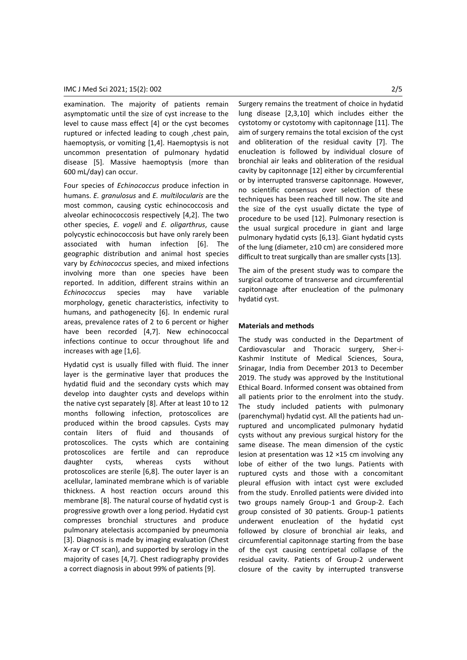examination. The majority of patients remain asymptomatic until the size of cyst increase to the level to cause mass effect [4] or the cyst becomes ruptured or infected leading to cough ,chest pain, haemoptysis, or vomiting [1,4]. Haemoptysis is not uncommon presentation of pulmonary hydatid disease [5]. Massive haemoptysis (more than 600 mL/day) can occur.

Four species of *Echinococcus* produce infection in humans. *E. granulosus* and *E. multilocularis* are the most common, causing cystic echinococcosis and alveolar echinococcosis respectively [4,2]. The two other species, *E. vogeli* and *E. oligarthrus*, cause polycystic echinococcosis but have only rarely been associated with human infection [6]. The geographic distribution and animal host species vary by *Echinococcus* species, and mixed infections involving more than one species have been reported. In addition, different strains within an *Echinococcus* species may have variable morphology, genetic characteristics, infectivity to humans, and pathogenecity [6]. In endemic rural areas, prevalence rates of 2 to 6 percent or higher have been recorded [4,7]. New echinococcal infections continue to occur throughout life and increases with age [1,6].

Hydatid cyst is usually filled with fluid. The inner layer is the germinative layer that produces the hydatid fluid and the secondary cysts which may develop into daughter cysts and develops within the native cyst separately [8]. After at least 10 to 12 months following infection, protoscolices are produced within the brood capsules. Cysts may contain liters of fluid and thousands of protoscolices. The cysts which are containing protoscolices are fertile and can reproduce daughter cysts, whereas cysts without protoscolices are sterile [6,8]. The outer layer is an acellular, laminated membrane which is of variable thickness. A host reaction occurs around this membrane [8]. The natural course of hydatid cyst is progressive growth over a long period. Hydatid cyst compresses bronchial structures and produce pulmonary atelectasis accompanied by pneumonia [3]. Diagnosis is made by imaging evaluation (Chest X-ray or CT scan), and supported by serology in the majority of cases [4,7]. Chest radiography provides a correct diagnosis in about 99% of patients [9].

Surgery remains the treatment of choice in hydatid lung disease [2,3,10] which includes either the cystotomy or cystotomy with capitonnage [11]. The aim of surgery remains the total excision of the cyst and obliteration of the residual cavity [7]. The enucleation is followed by individual closure of bronchial air leaks and obliteration of the residual cavity by capitonnage [12] either by circumferential or by interrupted transverse capitonnage. However, no scientific consensus over selection of these techniques has been reached till now. The site and the size of the cyst usually dictate the type of procedure to be used [12]. Pulmonary resection is the usual surgical procedure in giant and large pulmonary hydatid cysts [6,13]. Giant hydatid cysts of the lung (diameter, ≥10 cm) are considered more difficult to treat surgically than are smaller cysts [13].

The aim of the present study was to compare the surgical outcome of transverse and circumferential capitonnage after enucleation of the pulmonary hydatid cyst.

## **Materials and methods**

The study was conducted in the Department of Cardiovascular and Thoracic surgery, Sher-i-Kashmir Institute of Medical Sciences, Soura, Srinagar, India from December 2013 to December 2019. The study was approved by the Institutional Ethical Board. Informed consent was obtained from all patients prior to the enrolment into the study. The study included patients with pulmonary (parenchymal) hydatid cyst. All the patients had unruptured and uncomplicated pulmonary hydatid cysts without any previous surgical history for the same disease. The mean dimension of the cystic lesion at presentation was 12 ×15 cm involving any lobe of either of the two lungs. Patients with ruptured cysts and those with a concomitant pleural effusion with intact cyst were excluded from the study. Enrolled patients were divided into two groups namely Group-1 and Group-2. Each group consisted of 30 patients. Group-1 patients underwent enucleation of the hydatid cyst followed by closure of bronchial air leaks, and circumferential capitonnage starting from the base of the cyst causing centripetal collapse of the residual cavity. Patients of Group-2 underwent closure of the cavity by interrupted transverse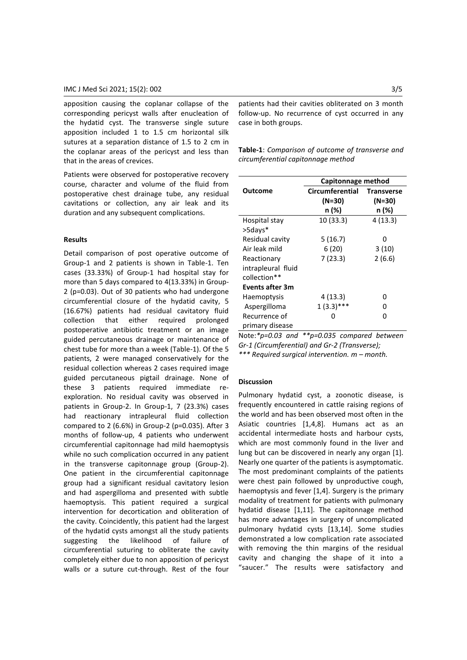apposition causing the coplanar collapse of the corresponding pericyst walls after enucleation of the hydatid cyst. The transverse single suture apposition included 1 to 1.5 cm horizontal silk sutures at a separation distance of 1.5 to 2 cm in the coplanar areas of the pericyst and less than that in the areas of crevices.

Patients were observed for postoperative recovery course, character and volume of the fluid from postoperative chest drainage tube, any residual cavitations or collection, any air leak and its duration and any subsequent complications.

# **Results**

Detail comparison of post operative outcome of Group-1 and 2 patients is shown in Table-1. Ten cases (33.33%) of Group-1 had hospital stay for more than 5 days compared to 4(13.33%) in Group-2 (p=0.03). Out of 30 patients who had undergone circumferential closure of the hydatid cavity, 5 (16.67%) patients had residual cavitatory fluid collection that either required prolonged postoperative antibiotic treatment or an image guided percutaneous drainage or maintenance of chest tube for more than a week (Table-1). Of the 5 patients, 2 were managed conservatively for the residual collection whereas 2 cases required image guided percutaneous pigtail drainage. None of these 3 patients required immediate reexploration. No residual cavity was observed in patients in Group-2. In Group-1, 7 (23.3%) cases had reactionary intrapleural fluid collection compared to 2 (6.6%) in Group-2 (p=0.035). After 3 months of follow-up, 4 patients who underwent circumferential capitonnage had mild haemoptysis while no such complication occurred in any patient in the transverse capitonnage group (Group-2). One patient in the circumferential capitonnage group had a significant residual cavitatory lesion and had aspergilloma and presented with subtle haemoptysis. This patient required a surgical intervention for decortication and obliteration of the cavity. Coincidently, this patient had the largest of the hydatid cysts amongst all the study patients suggesting the likelihood of failure of circumferential suturing to obliterate the cavity completely either due to non apposition of pericyst walls or a suture cut-through. Rest of the four

patients had their cavities obliterated on 3 month follow-up. No recurrence of cyst occurred in any case in both groups.

**Table-1**: *Comparison of outcome of transverse and circumferential capitonnage method*

|                    | Capitonnage method        |                             |
|--------------------|---------------------------|-----------------------------|
| Outcome            | Circumferential<br>(N=30) | <b>Transverse</b><br>(N=30) |
|                    | n (%)                     | n (%)                       |
| Hospital stay      | 10 (33.3)                 | 4(13.3)                     |
| >5days*            |                           |                             |
| Residual cavity    | 5(16.7)                   | n                           |
| Air leak mild      | 6(20)                     | 3(10)                       |
| Reactionary        | 7 (23.3)                  | 2(6.6)                      |
| intrapleural fluid |                           |                             |
| collection**       |                           |                             |
| Events after 3m    |                           |                             |
| <b>Haemoptysis</b> | 4(13.3)                   | n                           |
| Aspergilloma       | $1(3.3)***$               | n                           |
| Recurrence of      | 0                         | n                           |
| primary disease    |                           |                             |

Note:*\*p=0.03 and \*\*p=0.035 compared between Gr-1 (Circumferential) and Gr-2 (Transverse); \*\*\* Required surgical intervention. m – month.*

# **Discussion**

Pulmonary hydatid cyst, a zoonotic disease, is frequently encountered in cattle raising regions of the world and has been observed most often in the Asiatic countries [1,4,8]. Humans act as an accidental intermediate hosts and harbour cysts, which are most commonly found in the liver and lung but can be discovered in nearly any organ [1]. Nearly one quarter of the patients is asymptomatic. The most predominant complaints of the patients were chest pain followed by unproductive cough, haemoptysis and fever [1,4]. Surgery is the primary modality of treatment for patients with pulmonary hydatid disease [1,11]. The capitonnage method has more advantages in surgery of uncomplicated pulmonary hydatid cysts [13,14]. Some studies demonstrated a low complication rate associated with removing the thin margins of the residual cavity and changing the shape of it into a "saucer." The results were satisfactory and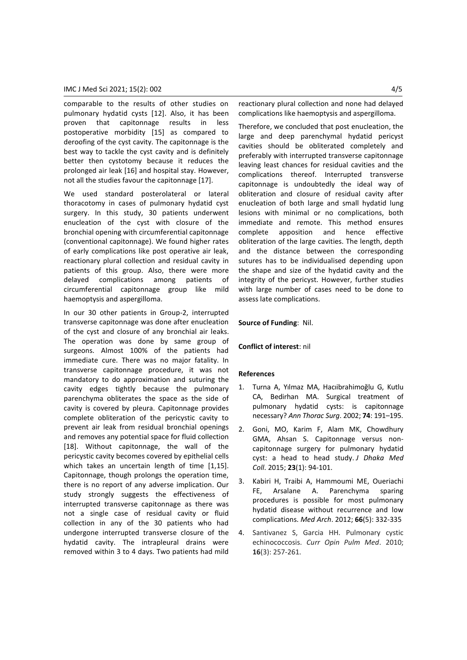comparable to the results of other studies on pulmonary hydatid cysts [12]. Also, it has been proven that capitonnage results in less postoperative morbidity [15] as compared to deroofing of the cyst cavity. The capitonnage is the best way to tackle the cyst cavity and is definitely better then cystotomy because it reduces the prolonged air leak [16] and hospital stay. However, not all the studies favour the capitonnage [17].

We used standard posterolateral or lateral thoracotomy in cases of pulmonary hydatid cyst surgery. In this study, 30 patients underwent enucleation of the cyst with closure of the bronchial opening with circumferential capitonnage (conventional capitonnage). We found higher rates of early complications like post operative air leak, reactionary plural collection and residual cavity in patients of this group. Also, there were more delayed complications among patients of circumferential capitonnage group like mild haemoptysis and aspergilloma.

In our 30 other patients in Group-2, interrupted transverse capitonnage was done after enucleation of the cyst and closure of any bronchial air leaks. The operation was done by same group of surgeons. Almost 100% of the patients had immediate cure. There was no major fatality. In transverse capitonnage procedure, it was not mandatory to do approximation and suturing the cavity edges tightly because the pulmonary parenchyma obliterates the space as the side of cavity is covered by pleura. Capitonnage provides complete obliteration of the pericystic cavity to prevent air leak from residual bronchial openings and removes any potential space for fluid collection [18]. Without capitonnage, the wall of the pericystic cavity becomes covered by epithelial cells which takes an uncertain length of time [1,15]. Capitonnage, though prolongs the operation time, there is no report of any adverse implication. Our study strongly suggests the effectiveness of interrupted transverse capitonnage as there was not a single case of residual cavity or fluid collection in any of the 30 patients who had undergone interrupted transverse closure of the hydatid cavity. The intrapleural drains were removed within 3 to 4 days. Two patients had mild

reactionary plural collection and none had delayed complications like haemoptysis and aspergilloma.

Therefore, we concluded that post enucleation, the large and deep parenchymal hydatid pericyst cavities should be obliterated completely and preferably with interrupted transverse capitonnage leaving least chances for residual cavities and the complications thereof. Interrupted transverse capitonnage is undoubtedly the ideal way of obliteration and closure of residual cavity after enucleation of both large and small hydatid lung lesions with minimal or no complications, both immediate and remote. This method ensures complete apposition and hence effective obliteration of the large cavities. The length, depth and the distance between the corresponding sutures has to be individualised depending upon the shape and size of the hydatid cavity and the integrity of the pericyst. However, further studies with large number of cases need to be done to assess late complications.

# **Source of Funding**: Nil.

## **Conflict of interest**: nil

## **References**

- 1. Turna A, Yılmaz MA, Hacıibrahimoğlu G, Kutlu CA, Bedirhan MA. Surgical treatment of pulmonary hydatid cysts: is capitonnage necessary? *Ann Thorac Surg*. 2002; **74**: 191–195.
- 2. Goni, MO, Karim F, Alam MK, Chowdhury GMA, Ahsan S. Capitonnage versus noncapitonnage surgery for pulmonary hydatid cyst: a head to head study. *J Dhaka Med Coll*. 2015; **23**(1): 94-101.
- 3. Kabiri H, Traibi A, Hammoumi ME, Oueriachi FE, Arsalane A. [Parenchyma sparing](https://www.ncbi.nlm.nih.gov/pubmed/23097973)  [procedures is possible for most pulmonary](https://www.ncbi.nlm.nih.gov/pubmed/23097973)  [hydatid disease without recurrence and low](https://www.ncbi.nlm.nih.gov/pubmed/23097973)  [complications.](https://www.ncbi.nlm.nih.gov/pubmed/23097973) *Med Arch*. 2012; **66**(5): 332-335
- 4. Santivanez S, Garcia HH. Pulmonary cystic echinococcosis. *Curr Opin Pulm Med*. 2010; **16**(3): 257-261.